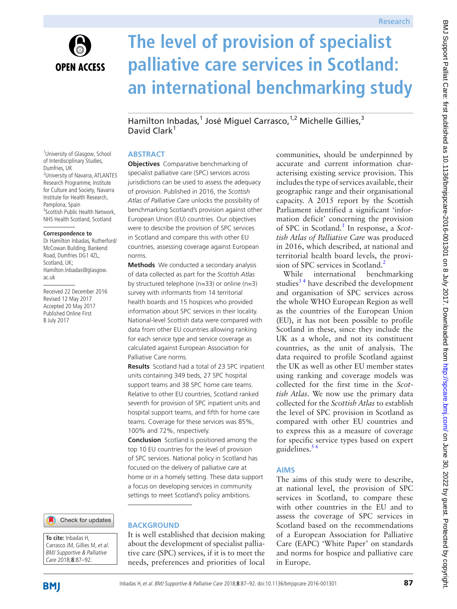

<sup>1</sup>University of Glasgow, School of Interdisciplinary Studies,

<sup>2</sup>University of Navarra, ATLANTES Research Programme, Institute for Culture and Society, Navarra Institute for Health Research,

3 Scottish Public Health Network, NHS Health Scotland, Scotland

Dumfries, UK

Pamplona, Spain

ac.uk

**Correspondence to** Dr Hamilton Inbadas, Rutherford/ McCowan Building, Bankend Road, Dumfries DG1 4ZL, Scotland, UK;

Hamilton.Inbadas@glasgow.

Received 22 December 2016 Revised 12 May 2017 Accepted 20 May 2017 Published Online First 8 July 2017

# **The level of provision of specialist palliative care services in Scotland: an international benchmarking study**

Hamilton Inbadas,<sup>1</sup> José Miguel Carrasco,<sup>1,2</sup> Michelle Gillies,<sup>3</sup> David Clark<sup>1</sup>

## **Abstract**

**Objectives** Comparative benchmarking of specialist palliative care (SPC) services across jurisdictions can be used to assess the adequacy of provision. Published in 2016, the *Scottish Atlas of Palliative Care* unlocks the possibility of benchmarking Scotland's provision against other European Union (EU) countries. Our objectives were to describe the provision of SPC services in Scotland and compare this with other EU countries, assessing coverage against European norms.

**Methods** We conducted a secondary analysis of data collected as part for the *Scottish Atlas* by structured telephone (n=33) or online (n=3) survey with informants from 14 territorial health boards and 15 hospices who provided information about SPC services in their locality. National-level Scottish data were compared with data from other EU countries allowing ranking for each service type and service coverage as calculated against European Association for Palliative Care norms.

**Results** Scotland had a total of 23 SPC inpatient units containing 349 beds, 27 SPC hospital support teams and 38 SPC home care teams. Relative to other EU countries, Scotland ranked seventh for provision of SPC inpatient units and hospital support teams, and fifth for home care teams. Coverage for these services was 85%, 100% and 72%, respectively.

**Conclusion** Scotland is positioned among the top 10 EU countries for the level of provision of SPC services. National policy in Scotland has focused on the delivery of palliative care at home or in a homely setting. These data support a focus on developing services in community settings to meet Scotland's policy ambitions.

Check for updates

#### **To cite:** Inbadas H, Carrasco JM, Gillies M, et al. BMJ Supportive & Palliative Care 2018;**8**:87–92.

# **BACKGROUND**

It is well established that decision making about the development of specialist palliative care (SPC) services, if it is to meet the needs, preferences and priorities of local

communities, should be underpinned by accurate and current information characterising existing service provision. This includes the type of services available, their geographic range and their organisational capacity. A 2015 report by the Scottish Parliament identified a significant 'information deficit' concerning the provision of SPC in Scotland.[1](#page-5-0) In response, a *Scottish Atlas of Palliative Care* was produced in 2016, which described, at national and territorial health board levels, the provision of SPC services in Scotland.<sup>2</sup>

While international benchmarking studies<sup>34</sup> have described the development and organisation of SPC services across the whole WHO European Region as well as the countries of the European Union (EU), it has not been possible to profile Scotland in these, since they include the UK as a whole, and not its constituent countries, as the unit of analysis. The data required to profile Scotland against the UK as well as other EU member states using ranking and coverage models was collected for the first time in the *Scottish Atlas*. We now use the primary data collected for the *Scottish Atlas* to establish the level of SPC provision in Scotland as compared with other EU countries and to express this as a measure of coverage for specific service types based on expert guidelines. $5<sup>6</sup>$ 

# **Aims**

The aims of this study were to describe, at national level, the provision of SPC services in Scotland, to compare these with other countries in the EU and to assess the coverage of SPC services in Scotland based on the recommendations of a European Association for Palliative Care (EAPC) 'White Paper' on standards and norms for hospice and palliative care in Europe.

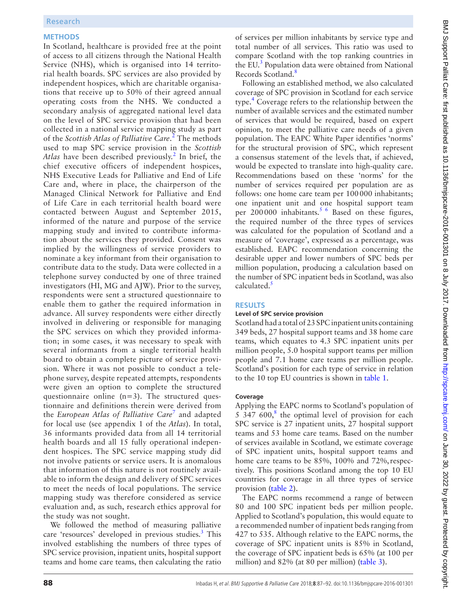#### **Methods**

In Scotland, healthcare is provided free at the point of access to all citizens through the National Health Service (NHS), which is organised into 14 territorial health boards. SPC services are also provided by independent hospices, which are charitable organisations that receive up to 50% of their agreed annual operating costs from the NHS. We conducted a secondary analysis of aggregated national level data on the level of SPC service provision that had been collected in a national service mapping study as part of the *Scottish Atlas of Palliative Care*. [2](#page-5-1) The methods used to map SPC service provision in the *Scottish*  Atlas have been described previously.<sup>[2](#page-5-1)</sup> In brief, the chief executive officers of independent hospices, NHS Executive Leads for Palliative and End of Life Care and, where in place, the chairperson of the Managed Clinical Network for Palliative and End of Life Care in each territorial health board were contacted between August and September 2015, informed of the nature and purpose of the service mapping study and invited to contribute information about the services they provided. Consent was implied by the willingness of service providers to nominate a key informant from their organisation to contribute data to the study. Data were collected in a telephone survey conducted by one of three trained investigators (HI, MG and AJW). Prior to the survey, respondents were sent a structured questionnaire to enable them to gather the required information in advance. All survey respondents were either directly involved in delivering or responsible for managing the SPC services on which they provided information; in some cases, it was necessary to speak with several informants from a single territorial health board to obtain a complete picture of service provision. Where it was not possible to conduct a telephone survey, despite repeated attempts, respondents were given an option to complete the structured questionnaire online (n=3). The structured questionnaire and definitions therein were derived from the *European Atlas of Palliative Care*[7](#page-5-4) and adapted for local use (see appendix 1 of the *Atlas*). In total, 36 informants provided data from all 14 territorial health boards and all 15 fully operational independent hospices. The SPC service mapping study did not involve patients or service users. It is anomalous that information of this nature is not routinely available to inform the design and delivery of SPC services to meet the needs of local populations. The service mapping study was therefore considered as service evaluation and, as such, research ethics approval for the study was not sought.

We followed the method of measuring palliative care 'resources' developed in previous studies.<sup>[3](#page-5-2)</sup> This involved establishing the numbers of three types of SPC service provision, inpatient units, hospital support teams and home care teams, then calculating the ratio

of services per million inhabitants by service type and total number of all services. This ratio was used to compare Scotland with the top ranking countries in the EU.<sup>[3](#page-5-2)</sup> Population data were obtained from National Records Scotland.<sup>[8](#page-5-5)</sup>

Following an established method, we also calculated coverage of SPC provision in Scotland for each service type.<sup>[4](#page-5-6)</sup> Coverage refers to the relationship between the number of available services and the estimated number of services that would be required, based on expert opinion, to meet the palliative care needs of a given population. The EAPC White Paper identifies 'norms' for the structural provision of SPC, which represent a consensus statement of the levels that, if achieved, would be expected to translate into high-quality care. Recommendations based on these 'norms' for the number of services required per population are as follows: one home care team per 100000 inhabitants; one inpatient unit and one hospital support team per  $200000$  inhabitants.<sup>5 6</sup> Based on these figures, the required number of the three types of services was calculated for the population of Scotland and a measure of 'coverage', expressed as a percentage, was established. EAPC recommendation concerning the desirable upper and lower numbers of SPC beds per million population, producing a calculation based on the number of SPC inpatient beds in Scotland, was also calculated.<sup>5</sup>

#### **Results**

#### **Level of SPC service provision**

Scotland had a total of 23 SPC inpatient units containing 349 beds, 27 hospital support teams and 38 home care teams, which equates to 4.3 SPC inpatient units per million people, 5.0 hospital support teams per million people and 7.1 home care teams per million people. Scotland's position for each type of service in relation to the 10 top EU countries is shown in [table](#page-2-0) 1.

#### **Coverage**

Applying the EAPC norms to Scotland's population of  $5\,347\,600$ ,<sup>[8](#page-5-5)</sup> the optimal level of provision for each SPC service is 27 inpatient units, 27 hospital support teams and 53 home care teams. Based on the number of services available in Scotland, we estimate coverage of SPC inpatient units, hospital support teams and home care teams to be 85%, 100% and 72%, respectively. This positions Scotland among the top 10 EU countries for coverage in all three types of service provision [\(table](#page-2-1) 2).

The EAPC norms recommend a range of between 80 and 100 SPC inpatient beds per million people. Applied to Scotland's population, this would equate to a recommended number of inpatient beds ranging from 427 to 535. Although relative to the EAPC norms, the coverage of SPC inpatient units is 85% in Scotland, the coverage of SPC inpatient beds is 65% (at 100 per million) and 82% (at 80 per million) ([table](#page-3-0) 3).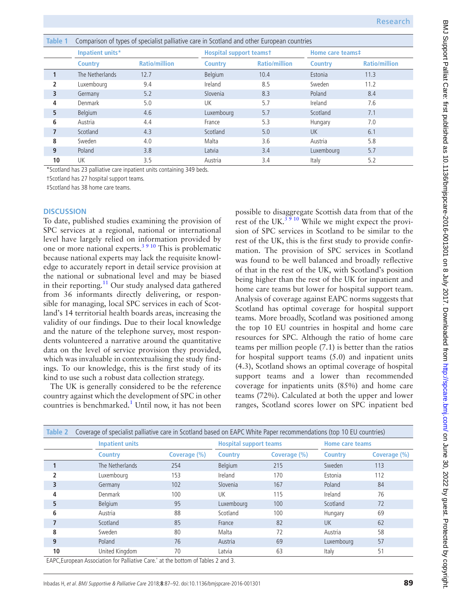<span id="page-2-0"></span>

| Table 1 | Comparison of types of specialist palliative care in Scotland and other European countries |                      |                |                                |                |                      |  |
|---------|--------------------------------------------------------------------------------------------|----------------------|----------------|--------------------------------|----------------|----------------------|--|
|         | Inpatient units*                                                                           |                      |                | <b>Hospital support teamst</b> |                | Home care teams#     |  |
|         | <b>Country</b>                                                                             | <b>Ratio/million</b> | <b>Country</b> | <b>Ratio/million</b>           | <b>Country</b> | <b>Ratio/million</b> |  |
|         | The Netherlands                                                                            | 12.7                 | Belgium        | 10.4                           | Estonia        | 11.3                 |  |
| 2       | Luxembourg                                                                                 | 9.4                  | Ireland        | 8.5                            | Sweden         | 11.2                 |  |
| 3       | Germany                                                                                    | 5.2                  | Slovenia       | 8.3                            | Poland         | 8.4                  |  |
| 4       | Denmark                                                                                    | 5.0                  | UK             | 5.7                            | Ireland        | 7.6                  |  |
| 5       | Belgium                                                                                    | 4.6                  | Luxembourg     | 5.7                            | Scotland       | 7.1                  |  |
| 6       | Austria                                                                                    | 4.4                  | France         | 5.3                            | Hungary        | 7.0                  |  |
|         | Scotland                                                                                   | 4.3                  | Scotland       | 5.0                            | <b>UK</b>      | 6.1                  |  |
| 8       | Sweden                                                                                     | 4.0                  | Malta          | 3.6                            | Austria        | 5.8                  |  |
| 9       | Poland                                                                                     | 3.8                  | Latvia         | 3.4                            | Luxembourg     | 5.7                  |  |
| 10      | UK                                                                                         | 3.5                  | Austria        | 3.4                            | Italy          | 5.2                  |  |

\*Scotland has 23 palliative care inpatient units containing 349 beds.

†Scotland has 27 hospital support teams.

‡Scotland has 38 home care teams.

#### **Discussion**

To date, published studies examining the provision of SPC services at a regional, national or international level have largely relied on information provided by one or more national experts.[3 9 10](#page-5-2) This is problematic because national experts may lack the requisite knowledge to accurately report in detail service provision at the national or subnational level and may be biased in their reporting.<sup>[11](#page-5-7)</sup> Our study analysed data gathered from 36 informants directly delivering, or responsible for managing, local SPC services in each of Scotland's 14 territorial health boards areas, increasing the validity of our findings. Due to their local knowledge and the nature of the telephone survey, most respondents volunteered a narrative around the quantitative data on the level of service provision they provided, which was invaluable in contextualising the study findings. To our knowledge, this is the first study of its kind to use such a robust data collection strategy.

The UK is generally considered to be the reference country against which the development of SPC in other countries is benchmarked.<sup>[1](#page-5-0)</sup> Until now, it has not been

possible to disaggregate Scottish data from that of the rest of the UK. $3910$  While we might expect the provision of SPC services in Scotland to be similar to the rest of the UK, this is the first study to provide confirmation. The provision of SPC services in Scotland was found to be well balanced and broadly reflective of that in the rest of the UK, with Scotland's position being higher than the rest of the UK for inpatient and home care teams but lower for hospital support team. Analysis of coverage against EAPC norms suggests that Scotland has optimal coverage for hospital support teams. More broadly, Scotland was positioned among the top 10 EU countries in hospital and home care resources for SPC. Although the ratio of home care teams per million people (7.1) is better than the ratios for hospital support teams (5.0) and inpatient units (4.3), Scotland shows an optimal coverage of hospital support teams and a lower than recommended coverage for inpatients units (85%) and home care teams (72%). Calculated at both the upper and lower ranges, Scotland scores lower on SPC inpatient bed

<span id="page-2-1"></span>

| Table 2 | Coverage of specialist palliative care in Scotland based on EAPC White Paper recommendations (top 10 EU countries) |                                   |                |                               |                |                        |  |  |
|---------|--------------------------------------------------------------------------------------------------------------------|-----------------------------------|----------------|-------------------------------|----------------|------------------------|--|--|
|         | <b>Inpatient units</b>                                                                                             |                                   |                | <b>Hospital support teams</b> |                | <b>Home care teams</b> |  |  |
|         | <b>Country</b>                                                                                                     | Coverage (%)                      | <b>Country</b> | Coverage (%)                  | <b>Country</b> | Coverage (%)           |  |  |
|         | The Netherlands                                                                                                    | 254                               | Belgium        | 215                           | Sweden         | 113                    |  |  |
|         | Luxembourg                                                                                                         | 153                               | Ireland        | 170                           | Estonia        | 112                    |  |  |
| 3       | Germany                                                                                                            | 102                               | Slovenia       | 167                           | Poland         | 84                     |  |  |
| 4       | Denmark                                                                                                            | 100                               | UK             | 115                           | Ireland        | 76                     |  |  |
| 5       | <b>Belgium</b>                                                                                                     | 95                                | Luxembourg     | 100                           | Scotland       | 72                     |  |  |
| 6       | Austria                                                                                                            | 88                                | Scotland       | 100                           | Hungary        | 69                     |  |  |
|         | Scotland                                                                                                           | 85                                | France         | 82                            | <b>UK</b>      | 62                     |  |  |
| 8       | Sweden                                                                                                             | 80                                | Malta          | 72                            | Austria        | 58                     |  |  |
| 9       | Poland                                                                                                             | 76                                | Austria        | 69                            | Luxembourg     | 57                     |  |  |
| 10      | United Kingdom                                                                                                     | 70<br>$\sim$ $\sim$ $\sim$ $\sim$ | Latvia         | 63                            | Italy          | 51                     |  |  |

EAPC,European Association for Palliative Care.' at the bottom of Tables 2 and 3.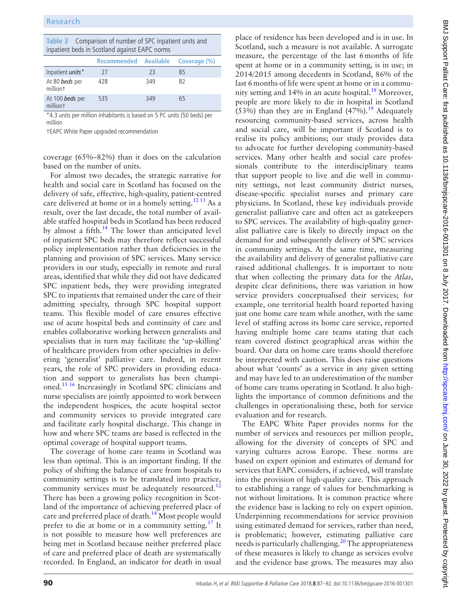<span id="page-3-0"></span>

| <b>Table 3</b> Comparison of number of SPC inpatient units and<br>inpatient beds in Scotland against EAPC norms |                       |     |              |  |  |  |
|-----------------------------------------------------------------------------------------------------------------|-----------------------|-----|--------------|--|--|--|
|                                                                                                                 | Recommended Available |     | Coverage (%) |  |  |  |
| Inpatient <i>units</i> *                                                                                        | 27                    | 23  | 85           |  |  |  |
| At 80 beds per<br>milliont                                                                                      | 428                   | 349 | 82           |  |  |  |
| At 100 beds per<br>milliont                                                                                     | 535                   | 349 | 65           |  |  |  |

\*4.3 units per million inhabitants is based on 5 PC units (50 beds) per million

†EAPC White Paper upgraded recommendation

coverage (65%–82%) than it does on the calculation based on the number of units.

For almost two decades, the strategic narrative for health and social care in Scotland has focused on the delivery of safe, effective, high-quality, patient-centred care delivered at home or in a homely setting.<sup>[12 13](#page-5-8)</sup> As a result, over the last decade, the total number of available staffed hospital beds in Scotland has been reduced by almost a fifth. $14$  The lower than anticipated level of inpatient SPC beds may therefore reflect successful policy implementation rather than deficiencies in the planning and provision of SPC services. Many service providers in our study, especially in remote and rural areas, identified that while they did not have dedicated SPC inpatient beds, they were providing integrated SPC to inpatients that remained under the care of their admitting specialty, through SPC hospital support teams. This flexible model of care ensures effective use of acute hospital beds and continuity of care and enables collaborative working between generalists and specialists that in turn may facilitate the 'up-skilling' of healthcare providers from other specialties in delivering 'generalist' palliative care. Indeed, in recent years, the role of SPC providers in providing education and support to generalists has been championed.[15 16](#page-5-10) Increasingly in Scotland SPC clinicians and nurse specialists are jointly appointed to work between the independent hospices, the acute hospital sector and community services to provide integrated care and facilitate early hospital discharge. This change in how and where SPC teams are based is reflected in the optimal coverage of hospital support teams.

The coverage of home care teams in Scotland was less than optimal. This is an important finding. If the policy of shifting the balance of care from hospitals to community settings is to be translated into practice, community services must be adequately resourced.<sup>12</sup> There has been a growing policy recognition in Scotland of the importance of achieving preferred place of care and preferred place of death.<sup>14</sup> Most people would prefer to die at home or in a community setting.<sup>[17](#page-5-11)</sup> It is not possible to measure how well preferences are being met in Scotland because neither preferred place of care and preferred place of death are systematically recorded. In England, an indicator for death in usual

place of residence has been developed and is in use. In Scotland, such a measure is not available. A surrogate measure, the percentage of the last 6months of life spent at home or in a community setting, is in use; in 2014/2015 among decedents in Scotland, 86% of the last 6months of life were spent at home or in a community setting and  $14\%$  in an acute hospital.<sup>[18](#page-5-12)</sup> Moreover, people are more likely to die in hospital in Scotland (53%) than they are in England  $(47%)$ .<sup>[19](#page-5-13)</sup> Adequately resourcing community-based services, across health and social care, will be important if Scotland is to realise its policy ambitions; our study provides data to advocate for further developing community-based services. Many other health and social care professionals contribute to the interdisciplinary teams that support people to live and die well in community settings, not least community district nurses, disease-specific specialist nurses and primary care physicians. In Scotland, these key individuals provide generalist palliative care and often act as gatekeepers to SPC services. The availability of high-quality generalist palliative care is likely to directly impact on the demand for and subsequently delivery of SPC services in community settings. At the same time, measuring the availability and delivery of generalist palliative care raised additional challenges. It is important to note that when collecting the primary data for the *Atlas*, despite clear definitions, there was variation in how service providers conceptualised their services; for example, one territorial health board reported having just one home care team while another, with the same level of staffing across its home care service, reported having multiple home care teams stating that each team covered distinct geographical areas within the board. Our data on home care teams should therefore be interpreted with caution. This does raise questions about what 'counts' as a service in any given setting and may have led to an underestimation of the number of home care teams operating in Scotland. It also highlights the importance of common definitions and the challenges in operationalising these, both for service evaluation and for research.

The EAPC White Paper provides norms for the number of services and resources per million people, allowing for the diversity of concepts of SPC and varying cultures across Europe. These norms are based on expert opinion and estimates of demand for services that EAPC considers, if achieved, will translate into the provision of high-quality care. This approach to establishing a range of values for benchmarking is not without limitations. It is common practice where the evidence base is lacking to rely on expert opinion. Underpinning recommendations for service provision using estimated demand for services, rather than need, is problematic; however, estimating palliative care needs is particularly challenging[.20](#page-5-14) The appropriateness of these measures is likely to change as services evolve and the evidence base grows. The measures may also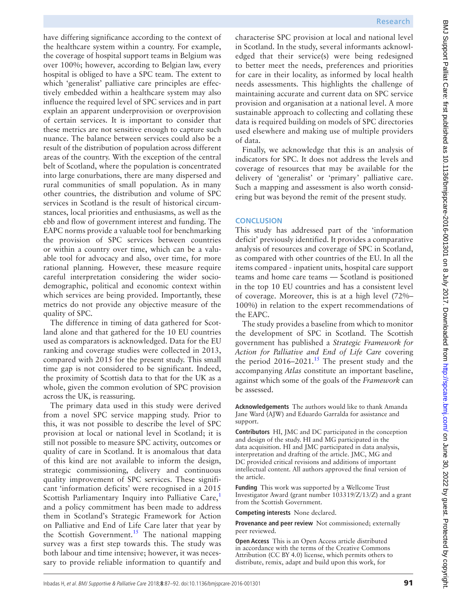characterise SPC provision at local and national level in Scotland. In the study, several informants acknowledged that their service(s) were being redesigned to better meet the needs, preferences and priorities for care in their locality, as informed by local health needs assessments. This highlights the challenge of maintaining accurate and current data on SPC service provision and organisation at a national level. A more sustainable approach to collecting and collating these data is required building on models of SPC directories used elsewhere and making use of multiple providers Finally, we acknowledge that this is an analysis of indicators for SPC. It does not address the levels and coverage of resources that may be available for the delivery of 'generalist' or 'primary' palliative care. Such a mapping and assessment is also worth considering but was beyond the remit of the present study. **Conclusion** This study has addressed part of the 'information deficit' previously identified. It provides a comparative analysis of resources and coverage of SPC in Scotland, as compared with other countries of the EU. In all the items compared - inpatient units, hospital care support teams and home care teams — Scotland is positioned in the top 10 EU countries and has a consistent level of coverage. Moreover, this is at a high level (72%– 100%) in relation to the expert recommendations of The study provides a baseline from which to monitor

the development of SPC in Scotland. The Scottish government has published a *Strategic Framework for Action for Palliative and End of Life Care* covering the period  $2016-2021$ .<sup>15</sup> The present study and the accompanying *Atlas* constitute an important baseline, against which some of the goals of the *Framework* can be assessed.

**Acknowledgements** The authors would like to thank Amanda Jane Ward (AJW) and Eduardo Garralda for assistance and support.

**Contributors** HI, JMC and DC participated in the conception and design of the study. HI and MG participated in the data acquisition. HI and JMC participated in data analysis, interpretation and drafting of the article. JMC, MG and DC provided critical revisions and additions of important intellectual content. All authors approved the final version of the article.

**Funding** This work was supported by a Wellcome Trust Investigator Award (grant number 103319/Z/13/Z) and a grant from the Scottish Government.

**Competing interests** None declared.

**Provenance and peer review** Not commissioned; externally peer reviewed.

**Open Access** This is an Open Access article distributed in accordance with the terms of the Creative Commons Attribution (CC BY 4.0) license, which permits others to distribute, remix, adapt and build upon this work, for

BMJ Support Palliat Care: first published as 10.11136/bmjspcare-2016-001301 on 8 July 2017. Downloaded from http://spcare.bmj.com/on June 30, 2022 by guest. Protected by copyright BMJ Support Palliat Care: first published as 10.1136/bmjspcare-2016-001301 on 8 July 2017. Downloaded from <http://spcare.bmj.com/> on June 30, 2022 by guest. Protected by copyright.

have differing significance according to the context of the healthcare system within a country. For example, the coverage of hospital support teams in Belgium was over 100%; however, according to Belgian law, every hospital is obliged to have a SPC team. The extent to which 'generalist' palliative care principles are effectively embedded within a healthcare system may also influence the required level of SPC services and in part explain an apparent underprovision or overprovision of certain services. It is important to consider that these metrics are not sensitive enough to capture such nuance. The balance between services could also be a result of the distribution of population across different areas of the country. With the exception of the central belt of Scotland, where the population is concentrated into large conurbations, there are many dispersed and rural communities of small population. As in many other countries, the distribution and volume of SPC services in Scotland is the result of historical circumstances, local priorities and enthusiasms, as well as the ebb and flow of government interest and funding. The EAPC norms provide a valuable tool for benchmarking the provision of SPC services between countries or within a country over time, which can be a valuable tool for advocacy and also, over time, for more rational planning. However, these measure require careful interpretation considering the wider sociodemographic, political and economic context within which services are being provided. Importantly, these metrics do not provide any objective measure of the quality of SPC. of data. the EAPC.

The difference in timing of data gathered for Scotland alone and that gathered for the 10 EU countries used as comparators is acknowledged. Data for the EU ranking and coverage studies were collected in 2013, compared with 2015 for the present study. This small time gap is not considered to be significant. Indeed, the proximity of Scottish data to that for the UK as a whole, given the common evolution of SPC provision across the UK, is reassuring.

The primary data used in this study were derived from a novel SPC service mapping study. Prior to this, it was not possible to describe the level of SPC provision at local or national level in Scotland; it is still not possible to measure SPC activity, outcomes or quality of care in Scotland. It is anomalous that data of this kind are not available to inform the design, strategic commissioning, delivery and continuous quality improvement of SPC services. These significant 'information deficits' were recognised in a 2015 Scottish Parliamentary Inquiry into Palliative Care, $<sup>1</sup>$  $<sup>1</sup>$  $<sup>1</sup>$ </sup> and a policy commitment has been made to address them in Scotland's Strategic Framework for Action on Palliative and End of Life Care later that year by the Scottish Government.<sup>15</sup> The national mapping survey was a first step towards this. The study was both labour and time intensive; however, it was necessary to provide reliable information to quantify and